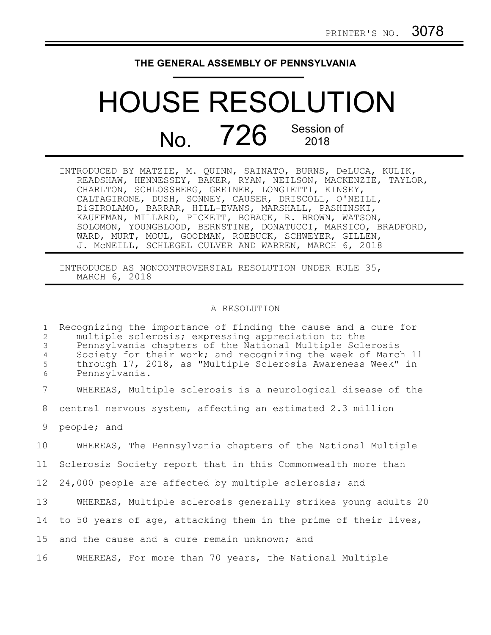## **THE GENERAL ASSEMBLY OF PENNSYLVANIA**

## HOUSE RESOLUTION No. 726 Session of 2018

| INTRODUCED BY MATZIE, M. QUINN, SAINATO, BURNS, DeLUCA, KULIK, |
|----------------------------------------------------------------|
| READSHAW, HENNESSEY, BAKER, RYAN, NEILSON, MACKENZIE, TAYLOR,  |
| CHARLTON, SCHLOSSBERG, GREINER, LONGIETTI, KINSEY,             |
| CALTAGIRONE, DUSH, SONNEY, CAUSER, DRISCOLL, O'NEILL,          |
| DiGIROLAMO, BARRAR, HILL-EVANS, MARSHALL, PASHINSKI,           |
| KAUFFMAN, MILLARD, PICKETT, BOBACK, R. BROWN, WATSON,          |
| SOLOMON, YOUNGBLOOD, BERNSTINE, DONATUCCI, MARSICO, BRADFORD,  |
| WARD, MURT, MOUL, GOODMAN, ROEBUCK, SCHWEYER, GILLEN,          |
| J. MCNEILL, SCHLEGEL CULVER AND WARREN, MARCH 6, 2018          |

INTRODUCED AS NONCONTROVERSIAL RESOLUTION UNDER RULE 35, MARCH 6, 2018

## A RESOLUTION

| $\mathbf{1}$<br>2<br>$\mathfrak{Z}$<br>$\overline{4}$<br>5<br>$\epsilon$ | Recognizing the importance of finding the cause and a cure for<br>multiple sclerosis; expressing appreciation to the<br>Pennsylvania chapters of the National Multiple Sclerosis<br>Society for their work; and recognizing the week of March 11<br>through 17, 2018, as "Multiple Sclerosis Awareness Week" in<br>Pennsylvania. |
|--------------------------------------------------------------------------|----------------------------------------------------------------------------------------------------------------------------------------------------------------------------------------------------------------------------------------------------------------------------------------------------------------------------------|
| $\overline{7}$                                                           | WHEREAS, Multiple sclerosis is a neurological disease of the                                                                                                                                                                                                                                                                     |
| 8                                                                        | central nervous system, affecting an estimated 2.3 million                                                                                                                                                                                                                                                                       |
| 9                                                                        | people; and                                                                                                                                                                                                                                                                                                                      |
| 10                                                                       | WHEREAS, The Pennsylvania chapters of the National Multiple                                                                                                                                                                                                                                                                      |
| 11                                                                       | Sclerosis Society report that in this Commonwealth more than                                                                                                                                                                                                                                                                     |
| 12 <sup>°</sup>                                                          | 24,000 people are affected by multiple sclerosis; and                                                                                                                                                                                                                                                                            |
| 13                                                                       | WHEREAS, Multiple sclerosis generally strikes young adults 20                                                                                                                                                                                                                                                                    |
| 14                                                                       | to 50 years of age, attacking them in the prime of their lives,                                                                                                                                                                                                                                                                  |
| 15                                                                       | and the cause and a cure remain unknown; and                                                                                                                                                                                                                                                                                     |
| 16                                                                       | WHEREAS, For more than 70 years, the National Multiple                                                                                                                                                                                                                                                                           |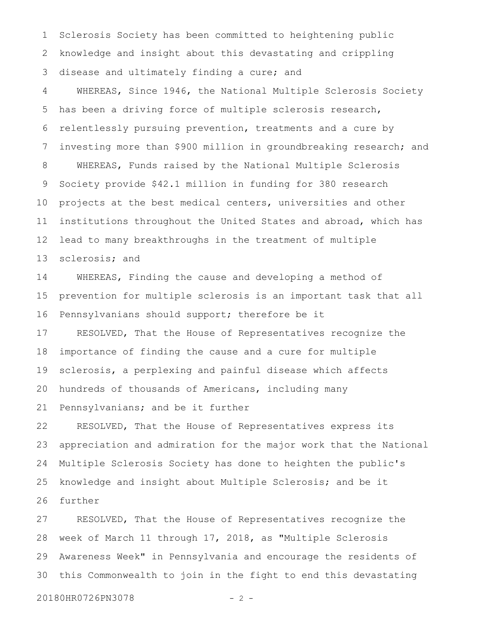Sclerosis Society has been committed to heightening public knowledge and insight about this devastating and crippling disease and ultimately finding a cure; and 1 2 3

WHEREAS, Since 1946, the National Multiple Sclerosis Society has been a driving force of multiple sclerosis research, relentlessly pursuing prevention, treatments and a cure by investing more than \$900 million in groundbreaking research; and WHEREAS, Funds raised by the National Multiple Sclerosis Society provide \$42.1 million in funding for 380 research projects at the best medical centers, universities and other institutions throughout the United States and abroad, which has lead to many breakthroughs in the treatment of multiple sclerosis; and 4 5 6 7 8 9 10 11 12 13

WHEREAS, Finding the cause and developing a method of prevention for multiple sclerosis is an important task that all Pennsylvanians should support; therefore be it 14 15 16

RESOLVED, That the House of Representatives recognize the importance of finding the cause and a cure for multiple sclerosis, a perplexing and painful disease which affects hundreds of thousands of Americans, including many 17 18 19 20

Pennsylvanians; and be it further 21

RESOLVED, That the House of Representatives express its appreciation and admiration for the major work that the National Multiple Sclerosis Society has done to heighten the public's knowledge and insight about Multiple Sclerosis; and be it further 22 23 24 25 26

RESOLVED, That the House of Representatives recognize the week of March 11 through 17, 2018, as "Multiple Sclerosis Awareness Week" in Pennsylvania and encourage the residents of this Commonwealth to join in the fight to end this devastating 27 28 29 30

20180HR0726PN3078 - 2 -